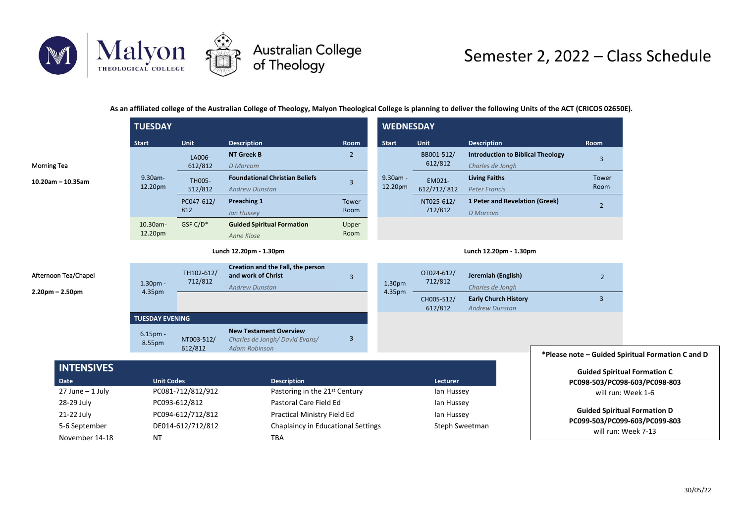

## Semester 2, 2022 – Class Schedule

**As an affiliated college of the Australian College of Theology, Malyon Theological College is planning to deliver the following Units of the ACT (CRICOS 02650E).**

|                                               | <b>TUESDAY</b>               |                       |                                                                                        |                         | <b>WEDNESDAY</b>    |                       |                                                              |                                                      |  |
|-----------------------------------------------|------------------------------|-----------------------|----------------------------------------------------------------------------------------|-------------------------|---------------------|-----------------------|--------------------------------------------------------------|------------------------------------------------------|--|
|                                               | <b>Start</b>                 | Unit                  | <b>Description</b>                                                                     | Room                    | <b>Start</b>        | Unit                  | <b>Description</b>                                           | <b>Room</b>                                          |  |
| <b>Morning Tea</b>                            |                              | LA006-<br>612/812     | <b>NT Greek B</b><br><b>D</b> Morcom                                                   | $\overline{2}$          |                     | BB001-512/<br>612/812 | <b>Introduction to Biblical Theology</b><br>Charles de Jongh | $\overline{3}$                                       |  |
| $10.20$ am - 10.35am                          | 9.30am-<br>12.20pm           | TH005-<br>512/812     | <b>Foundational Christian Beliefs</b><br><b>Andrew Dunstan</b>                         | $\overline{3}$          | 9.30am -<br>12.20pm | EM021-<br>612/712/812 | <b>Living Faiths</b><br><b>Peter Francis</b>                 | Tower<br>Room                                        |  |
|                                               |                              | PC047-612/<br>812     | Preaching 1<br><b>Ian Hussey</b>                                                       | Tower<br>Room           |                     | NT025-612/<br>712/812 | 1 Peter and Revelation (Greek)<br><b>D</b> Morcom            | $\overline{2}$                                       |  |
|                                               | 10.30am-<br>12.20pm          | GSF C/D*              | <b>Guided Spiritual Formation</b><br>Anne Klose                                        | Upper<br>Room           |                     |                       |                                                              |                                                      |  |
|                                               | Lunch 12.20pm - 1.30pm       |                       |                                                                                        | Lunch 12.20pm - 1.30pm  |                     |                       |                                                              |                                                      |  |
| Afternoon Tea/Chapel<br>$2.20$ pm $- 2.50$ pm | $1.30pm$ -<br>4.35pm         | TH102-612/<br>712/812 | Creation and the Fall, the person<br>and work of Christ<br><b>Andrew Dunstan</b>       | $\overline{3}$          | 1.30pm<br>4.35pm    | OT024-612/<br>712/812 | Jeremiah (English)<br>Charles de Jongh                       | $\overline{2}$                                       |  |
|                                               |                              |                       |                                                                                        |                         |                     | CH005-512/<br>612/812 | <b>Early Church History</b><br><b>Andrew Dunstan</b>         | 3                                                    |  |
|                                               | <b>TUESDAY EVENING</b>       |                       |                                                                                        |                         |                     |                       |                                                              |                                                      |  |
|                                               | 6.15 <sub>pm</sub><br>8.55pm | NT003-512/<br>612/812 | <b>New Testament Overview</b><br>Charles de Jongh/David Evans/<br><b>Adam Robinson</b> | $\overline{\mathbf{3}}$ |                     |                       |                                                              |                                                      |  |
|                                               |                              |                       |                                                                                        |                         |                     |                       |                                                              | *Please note - Guided Spiritual Formation C and D    |  |
| <b>INTENSIVES</b><br><b>Date</b>              | <b>Unit Codes</b>            |                       | <b>Description</b>                                                                     |                         |                     | Lecturer              |                                                              | <b>Guided Spiritual Formation C</b>                  |  |
| $27$ June $-1$ July                           |                              | PC081-712/812/912     | Pastoring in the 21 <sup>st</sup> Century                                              |                         |                     | lan Hussey            |                                                              | PC098-503/PC098-603/PC098-803<br>will run: Week 1-6  |  |
| 28-29 July                                    |                              | PC093-612/812         | Pastoral Care Field Ed                                                                 |                         |                     | lan Hussey            |                                                              |                                                      |  |
| 21-22 July                                    |                              | PC094-612/712/812     | Practical Ministry Field Ed                                                            |                         | lan Hussey          |                       | <b>Guided Spiritual Formation D</b>                          |                                                      |  |
| 5-6 September<br>November 14-18               | <b>NT</b>                    | DE014-612/712/812     | Chaplaincy in Educational Settings<br><b>TBA</b>                                       |                         |                     | Steph Sweetman        |                                                              | PC099-503/PC099-603/PC099-803<br>will run: Week 7-13 |  |